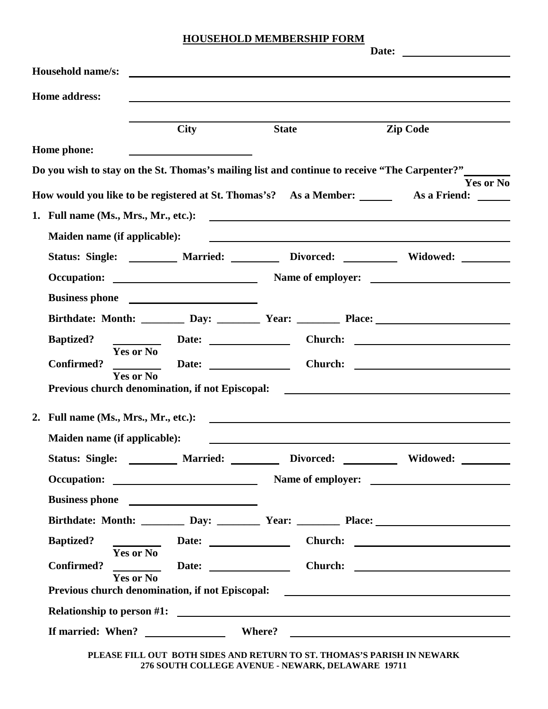## **HOUSEHOLD MEMBERSHIP FORM**

| Date:                                                                                                                                                 |                  |
|-------------------------------------------------------------------------------------------------------------------------------------------------------|------------------|
| <b>Household name/s:</b>                                                                                                                              |                  |
| <b>Home address:</b>                                                                                                                                  |                  |
|                                                                                                                                                       |                  |
| <b>City</b><br><b>State</b><br><b>Zip Code</b>                                                                                                        |                  |
| Home phone:                                                                                                                                           |                  |
| Do you wish to stay on the St. Thomas's mailing list and continue to receive "The Carpenter?"                                                         | <b>Yes or No</b> |
| How would you like to be registered at St. Thomas's? As a Member: ________ As a Friend: ______                                                        |                  |
|                                                                                                                                                       |                  |
| Maiden name (if applicable):<br><u> 1989 - Johann Harry Harry Harry Harry Harry Harry Harry Harry Harry Harry Harry Harry Harry Harry Harry Harry</u> |                  |
| Status: Single: ________ Married: _______ Divorced: _______ Widowed: _______                                                                          |                  |
|                                                                                                                                                       |                  |
|                                                                                                                                                       |                  |
| Birthdate: Month: <u>Day: Day: Year: Place:</u> Place:                                                                                                |                  |
| <b>Baptized?</b>                                                                                                                                      |                  |
| Yes or No<br><b>Confirmed?</b><br>Date: $\qquad \qquad$                                                                                               |                  |
| <b>Yes or No</b><br>Previous church denomination, if not Episcopal: <u>_________________________________</u>                                          |                  |
| 2. Full name (Ms., Mrs., Mr., etc.):<br><u> 1980 - John Stein, Amerikaansk politiker (</u> † 1920)                                                    |                  |
| Maiden name (if applicable):                                                                                                                          |                  |
| Status: Single: _________ Married: ________ Divorced: _________ Widowed: _______                                                                      |                  |
|                                                                                                                                                       |                  |
|                                                                                                                                                       |                  |
| Birthdate: Month: ________ Day: ________ Year: ________ Place: _________________                                                                      |                  |
| <b>Baptized?</b><br>Date: Date: Church: 2008. Church: 2008. 2009. 2010. 2010. 2010. 2010. 2011. 2012. 2012. 2013. 2014. 2016. 2017                    |                  |
| <b>Yes or No</b><br>Date: Date: Church: Church: 2008<br><b>Confirmed?</b>                                                                             |                  |
| <b>Yes or No</b>                                                                                                                                      |                  |
|                                                                                                                                                       |                  |
|                                                                                                                                                       |                  |

**PLEASE FILL OUT BOTH SIDES AND RETURN TO ST. THOMAS'S PARISH IN NEWARK 276 SOUTH COLLEGE AVENUE - NEWARK, DELAWARE 19711**